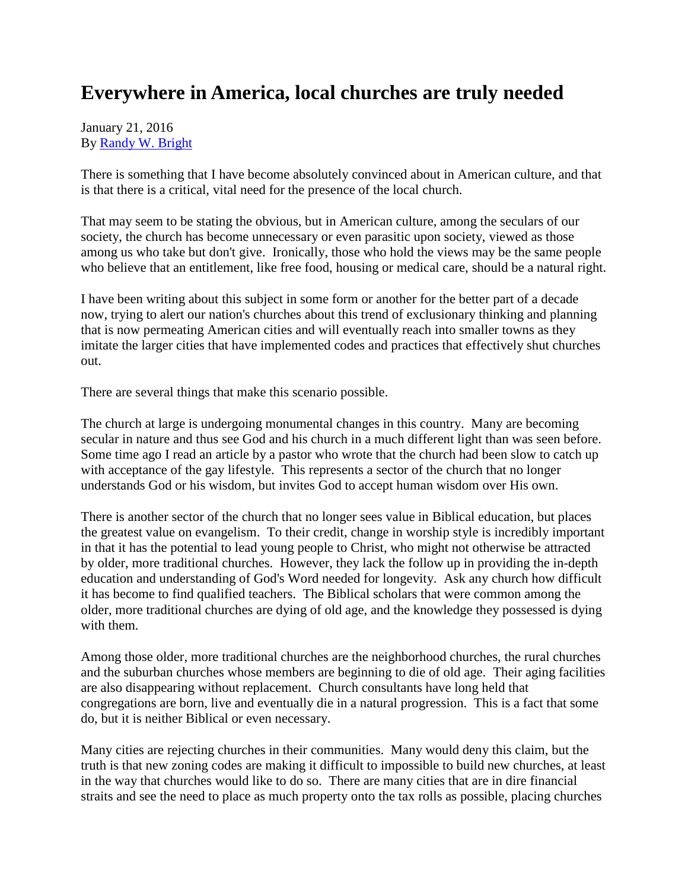## **Everywhere in America, local churches are truly needed**

## January 21, 2016 By [Randy W. Bright](http://www.tulsabeacon.com/author/slug-o6yd1v)

There is something that I have become absolutely convinced about in American culture, and that is that there is a critical, vital need for the presence of the local church.

That may seem to be stating the obvious, but in American culture, among the seculars of our society, the church has become unnecessary or even parasitic upon society, viewed as those among us who take but don't give. Ironically, those who hold the views may be the same people who believe that an entitlement, like free food, housing or medical care, should be a natural right.

I have been writing about this subject in some form or another for the better part of a decade now, trying to alert our nation's churches about this trend of exclusionary thinking and planning that is now permeating American cities and will eventually reach into smaller towns as they imitate the larger cities that have implemented codes and practices that effectively shut churches out.

There are several things that make this scenario possible.

The church at large is undergoing monumental changes in this country. Many are becoming secular in nature and thus see God and his church in a much different light than was seen before. Some time ago I read an article by a pastor who wrote that the church had been slow to catch up with acceptance of the gay lifestyle. This represents a sector of the church that no longer understands God or his wisdom, but invites God to accept human wisdom over His own.

There is another sector of the church that no longer sees value in Biblical education, but places the greatest value on evangelism. To their credit, change in worship style is incredibly important in that it has the potential to lead young people to Christ, who might not otherwise be attracted by older, more traditional churches. However, they lack the follow up in providing the in-depth education and understanding of God's Word needed for longevity. Ask any church how difficult it has become to find qualified teachers. The Biblical scholars that were common among the older, more traditional churches are dying of old age, and the knowledge they possessed is dying with them.

Among those older, more traditional churches are the neighborhood churches, the rural churches and the suburban churches whose members are beginning to die of old age. Their aging facilities are also disappearing without replacement. Church consultants have long held that congregations are born, live and eventually die in a natural progression. This is a fact that some do, but it is neither Biblical or even necessary.

Many cities are rejecting churches in their communities. Many would deny this claim, but the truth is that new zoning codes are making it difficult to impossible to build new churches, at least in the way that churches would like to do so. There are many cities that are in dire financial straits and see the need to place as much property onto the tax rolls as possible, placing churches